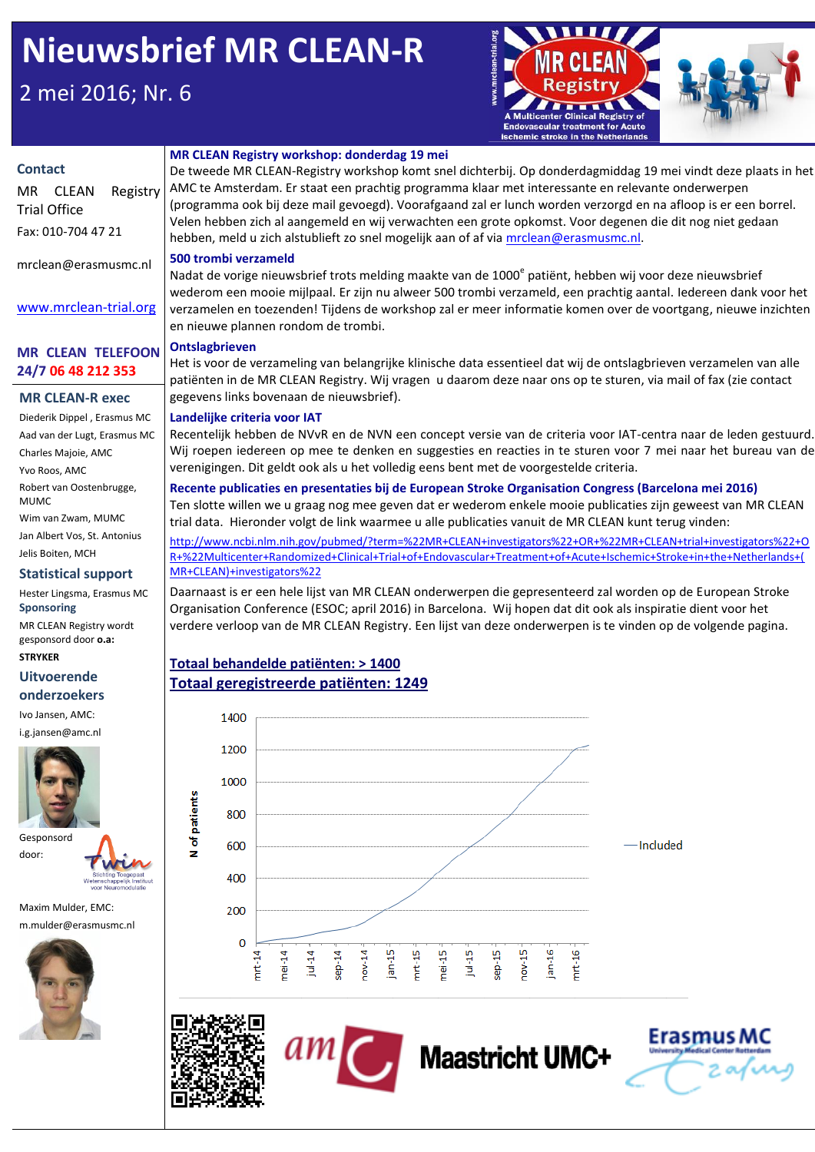# **Nieuwsbrief MR CLEAN-R**

# 2 mei 2016; Nr. 6



Erasmus N

#### **Contact** MR CLEAN Registry Trial Office Fax: 010-704 47 21 mrclean@erasmusmc.nl www.mrclean-trial.org **MR CLEAN TELEFOON 24/7 06 48 212 353 MR CLEAN Registry workshop: donderdag 19 mei** De tweede MR CLEAN-Registry workshop komt snel dichterbij. Op donderdagmiddag 19 mei vindt deze plaats in het AMC te Amsterdam. Er staat een prachtig programma klaar met interessante en relevante onderwerpen (programma ook bij deze mail gevoegd). Voorafgaand zal er lunch worden verzorgd en na afloop is er een borrel. Velen hebben zich al aangemeld en wij verwachten een grote opkomst. Voor degenen die dit nog niet gedaan hebben, meld u zich alstublieft zo snel mogelijk aan of af vi[a mrclean@erasmusmc.nl.](mailto:mrclean@erasmusmc.nl) **500 trombi verzameld** Nadat de vorige nieuwsbrief trots melding maakte van de 1000<sup>e</sup> patiënt, hebben wij voor deze nieuwsbrief wederom een mooie mijlpaal. Er zijn nu alweer 500 trombi verzameld, een prachtig aantal. Iedereen dank voor het verzamelen en toezenden! Tijdens de workshop zal er meer informatie komen over de voortgang, nieuwe inzichten en nieuwe plannen rondom de trombi. **Ontslagbrieven** Het is voor de verzameling van belangrijke klinische data essentieel dat wij de ontslagbrieven verzamelen van alle patiënten in de MR CLEAN Registry. Wij vragen u daarom deze naar ons op te sturen, via mail of fax (zie contact gegevens links bovenaan de nieuwsbrief). **Landelijke criteria voor IAT** Recentelijk hebben de NVvR en de NVN een concept versie van de criteria voor IAT-centra naar de leden gestuurd. Wij roepen iedereen op mee te denken en suggesties en reacties in te sturen voor 7 mei naar het bureau van de verenigingen. Dit geldt ook als u het volledig eens bent met de voorgestelde criteria. **Recente publicaties en presentaties bij de European Stroke Organisation Congress (Barcelona mei 2016)** Ten slotte willen we u graag nog mee geven dat er wederom enkele mooie publicaties zijn geweest van MR CLEAN trial data. Hieronder volgt de link waarmee u alle publicaties vanuit de MR CLEAN kunt terug vinden: [http://www.ncbi.nlm.nih.gov/pubmed/?term=%22MR+CLEAN+investigators%22+OR+%22MR+CLEAN+trial+investigators%22+O](http://www.ncbi.nlm.nih.gov/pubmed/?term=%22MR+CLEAN+investigators%22+OR+%22MR+CLEAN+trial+investigators%22+OR+%22Multicenter+Randomized+Clinical+Trial+of+Endovascular+Treatment+of+Acute+Ischemic+Stroke+in+the+Netherlands+(MR+CLEAN)+investigators%22) [R+%22Multicenter+Randomized+Clinical+Trial+of+Endovascular+Treatment+of+Acute+Ischemic+Stroke+in+the+Netherlands+\(](http://www.ncbi.nlm.nih.gov/pubmed/?term=%22MR+CLEAN+investigators%22+OR+%22MR+CLEAN+trial+investigators%22+OR+%22Multicenter+Randomized+Clinical+Trial+of+Endovascular+Treatment+of+Acute+Ischemic+Stroke+in+the+Netherlands+(MR+CLEAN)+investigators%22) [MR+CLEAN\)+investigators%22](http://www.ncbi.nlm.nih.gov/pubmed/?term=%22MR+CLEAN+investigators%22+OR+%22MR+CLEAN+trial+investigators%22+OR+%22Multicenter+Randomized+Clinical+Trial+of+Endovascular+Treatment+of+Acute+Ischemic+Stroke+in+the+Netherlands+(MR+CLEAN)+investigators%22) Daarnaast is er een hele lijst van MR CLEAN onderwerpen die gepresenteerd zal worden op de European Stroke Organisation Conference (ESOC; april 2016) in Barcelona. Wij hopen dat dit ook als inspiratie dient voor het verdere verloop van de MR CLEAN Registry. Een lijst van deze onderwerpen is te vinden op de volgende pagina. **MR CLEAN-R exec** Diederik Dippel , Erasmus MC Aad van der Lugt, Erasmus MC Charles Majoie, AMC Yvo Roos, AMC Robert van Oostenbrugge, MUMC Wim van Zwam, MUMC Jan Albert Vos, St. Antonius Jelis Boiten, MCH **Statistical support** Hester Lingsma, Erasmus MC **Sponsoring** MR CLEAN Registry wordt gesponsord door **o.a: STRYKER**

### **Uitvoerende onderzoekers**

Ivo Jansen, AMC: i.g.jansen@amc.nl



door:

Maxim Mulder, EMC: m.mulder@erasmusmc.nl



## **Totaal behandelde patiënten: > 1400 Totaal geregistreerde patiënten: 1249**



**Maastricht UMC+**